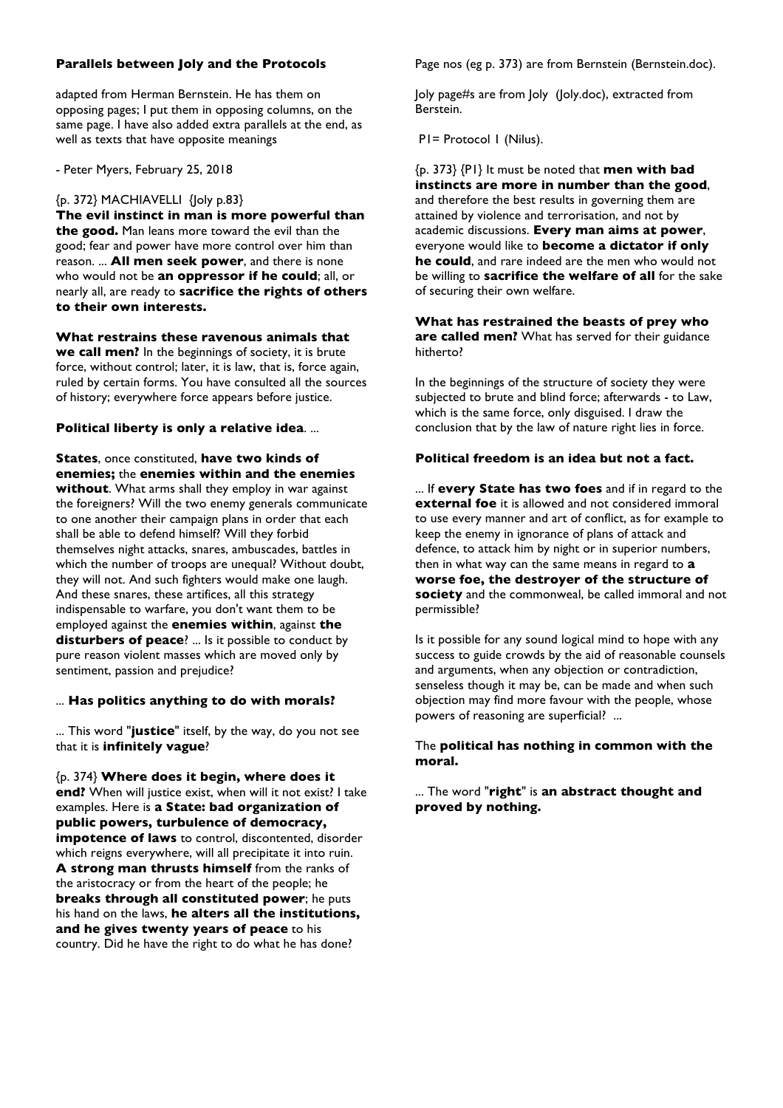## **Parallels between Joly and the Protocols**

adapted from Herman Bernstein. He has them on opposing pages; I put them in opposing columns, on the same page. I have also added extra parallels at the end, as well as texts that have opposite meanings

- Peter Myers, February 25, 2018

# {p. 372} MACHIAVELLI {Joly p.83}

**The evil instinct in man is more powerful than the good.** Man leans more toward the evil than the good; fear and power have more control over him than reason. ... **All men seek power**, and there is none who would not be **an oppressor if he could**; all, or nearly all, are ready to **sacrifice the rights of others to their own interests.** 

## **What restrains these ravenous animals that**

**we call men?** In the beginnings of society, it is brute force, without control; later, it is law, that is, force again, ruled by certain forms. You have consulted all the sources of history; everywhere force appears before justice.

## **Political liberty is only a relative idea**. ...

**States**, once constituted, **have two kinds of enemies;** the **enemies within and the enemies without**. What arms shall they employ in war against the foreigners? Will the two enemy generals communicate to one another their campaign plans in order that each shall be able to defend himself? Will they forbid themselves night attacks, snares, ambuscades, battles in which the number of troops are unequal? Without doubt, they will not. And such fighters would make one laugh. And these snares, these artifices, all this strategy indispensable to warfare, you don't want them to be employed against the **enemies within**, against **the disturbers of peace**? ... Is it possible to conduct by pure reason violent masses which are moved only by sentiment, passion and prejudice?

# ... **Has politics anything to do with morals?**

... This word "**justice**" itself, by the way, do you not see that it is **infinitely vague**?

{p. 374} **Where does it begin, where does it end?** When will justice exist, when will it not exist? I take examples. Here is **a State: bad organization of public powers, turbulence of democracy, impotence of laws** to control, discontented, disorder which reigns everywhere, will all precipitate it into ruin. **A strong man thrusts himself** from the ranks of the aristocracy or from the heart of the people; he **breaks through all constituted power**; he puts his hand on the laws, **he alters all the institutions, and he gives twenty years of peace** to his country. Did he have the right to do what he has done?

Page nos (eg p. 373) are from Bernstein (Bernstein.doc).

Joly page#s are from Joly (Joly.doc), extracted from Berstein.

P1= Protocol 1 (Nilus).

{p. 373} {P1} It must be noted that **men with bad instincts are more in number than the good**, and therefore the best results in governing them are attained by violence and terrorisation, and not by academic discussions. **Every man aims at power**, everyone would like to **become a dictator if only he could**, and rare indeed are the men who would not be willing to **sacrifice the welfare of all** for the sake of securing their own welfare.

### **What has restrained the beasts of prey who are called men?** What has served for their guidance hitherto?

In the beginnings of the structure of society they were subjected to brute and blind force; afterwards - to Law, which is the same force, only disguised. I draw the conclusion that by the law of nature right lies in force.

## **Political freedom is an idea but not a fact.**

... If **every State has two foes** and if in regard to the **external foe** it is allowed and not considered immoral to use every manner and art of conflict, as for example to keep the enemy in ignorance of plans of attack and defence, to attack him by night or in superior numbers, then in what way can the same means in regard to **a worse foe, the destroyer of the structure of society** and the commonweal, be called immoral and not permissible?

Is it possible for any sound logical mind to hope with any success to guide crowds by the aid of reasonable counsels and arguments, when any objection or contradiction, senseless though it may be, can be made and when such objection may find more favour with the people, whose powers of reasoning are superficial? ...

# The **political has nothing in common with the moral.**

... The word "**right**" is **an abstract thought and proved by nothing.**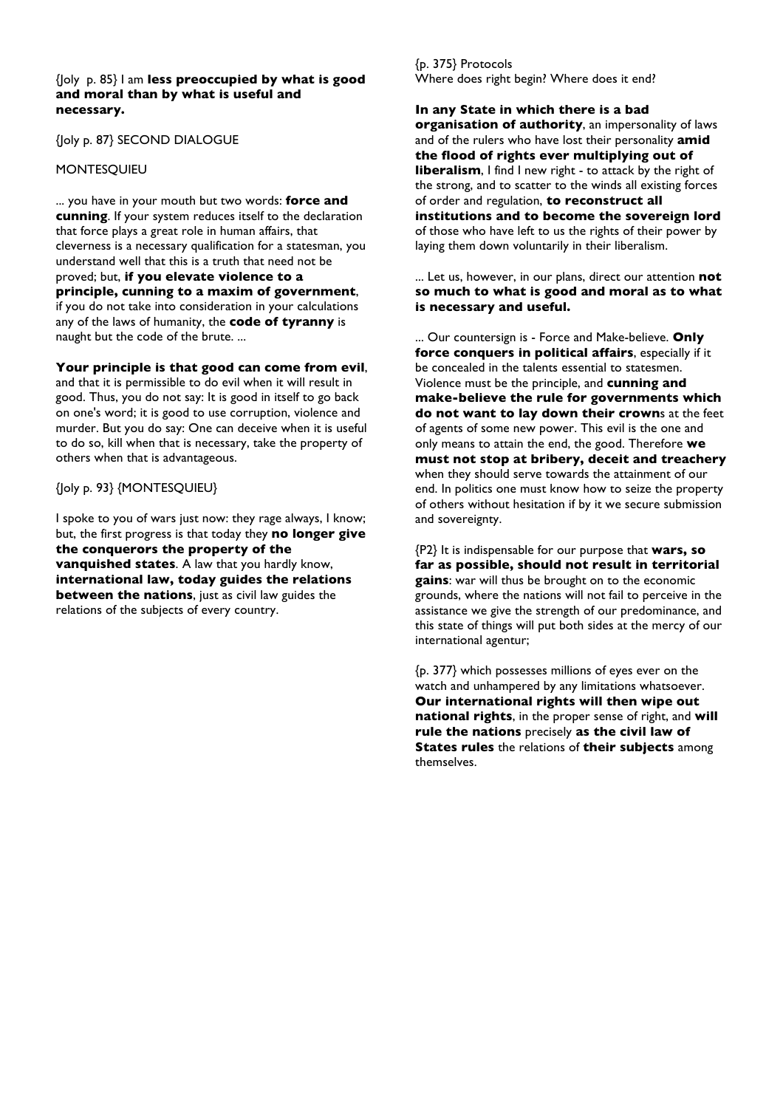{Joly p. 85} I am **less preoccupied by what is good and moral than by what is useful and necessary.** 

{Joly p. 87} SECOND DIALOGUE

# **MONTESOUIEU**

... you have in your mouth but two words: **force and cunning**. If your system reduces itself to the declaration that force plays a great role in human affairs, that cleverness is a necessary qualification for a statesman, you understand well that this is a truth that need not be proved; but, **if you elevate violence to a principle, cunning to a maxim of government**, if you do not take into consideration in your calculations any of the laws of humanity, the **code of tyranny** is naught but the code of the brute. ...

**Your principle is that good can come from evil**, and that it is permissible to do evil when it will result in good. Thus, you do not say: It is good in itself to go back on one's word; it is good to use corruption, violence and murder. But you do say: One can deceive when it is useful to do so, kill when that is necessary, take the property of others when that is advantageous.

# {Joly p. 93} {MONTESQUIEU}

I spoke to you of wars just now: they rage always, I know; but, the first progress is that today they **no longer give the conquerors the property of the vanquished states**. A law that you hardly know, **international law, today guides the relations between the nations**, just as civil law guides the relations of the subjects of every country.

{p. 375} Protocols Where does right begin? Where does it end?

## **In any State in which there is a bad**

**organisation of authority**, an impersonality of laws and of the rulers who have lost their personality **amid the flood of rights ever multiplying out of liberalism**, I find I new right - to attack by the right of the strong, and to scatter to the winds all existing forces of order and regulation, **to reconstruct all institutions and to become the sovereign lord**  of those who have left to us the rights of their power by laying them down voluntarily in their liberalism.

... Let us, however, in our plans, direct our attention **not so much to what is good and moral as to what is necessary and useful.** 

... Our countersign is - Force and Make-believe. **Only force conquers in political affairs**, especially if it be concealed in the talents essential to statesmen. Violence must be the principle, and **cunning and make-believe the rule for governments which do not want to lay down their crown**s at the feet of agents of some new power. This evil is the one and only means to attain the end, the good. Therefore **we must not stop at bribery, deceit and treachery** when they should serve towards the attainment of our end. In politics one must know how to seize the property of others without hesitation if by it we secure submission and sovereignty.

{P2} It is indispensable for our purpose that **wars, so far as possible, should not result in territorial gains**: war will thus be brought on to the economic grounds, where the nations will not fail to perceive in the assistance we give the strength of our predominance, and this state of things will put both sides at the mercy of our international agentur;

{p. 377} which possesses millions of eyes ever on the watch and unhampered by any limitations whatsoever. **Our international rights will then wipe out national rights**, in the proper sense of right, and **will rule the nations** precisely **as the civil law of States rules** the relations of **their subjects** among themselves.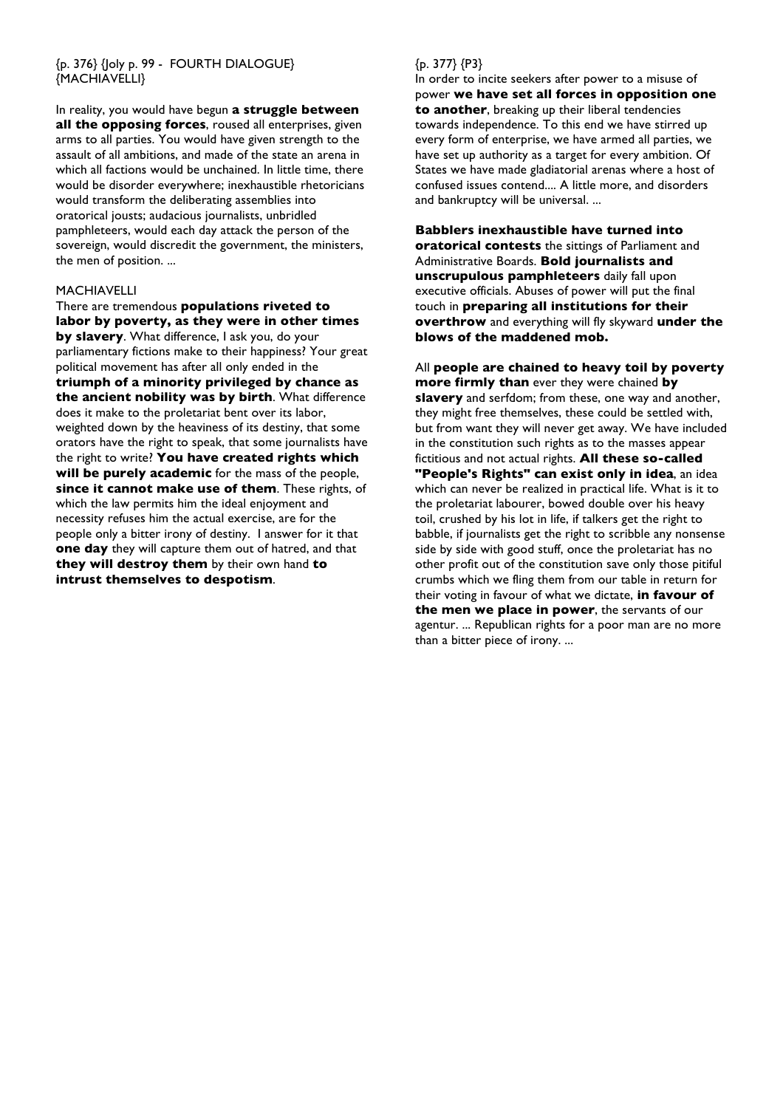{p. 376} {Joly p. 99 - FOURTH DIALOGUE} {MACHIAVELLI}

In reality, you would have begun **a struggle between all the opposing forces**, roused all enterprises, given arms to all parties. You would have given strength to the assault of all ambitions, and made of the state an arena in which all factions would be unchained. In little time, there would be disorder everywhere; inexhaustible rhetoricians would transform the deliberating assemblies into oratorical jousts; audacious journalists, unbridled pamphleteers, would each day attack the person of the sovereign, would discredit the government, the ministers, the men of position. ...

#### MACHIAVELLI

There are tremendous **populations riveted to labor by poverty, as they were in other times by slavery**. What difference, I ask you, do your parliamentary fictions make to their happiness? Your great political movement has after all only ended in the **triumph of a minority privileged by chance as the ancient nobility was by birth**. What difference does it make to the proletariat bent over its labor, weighted down by the heaviness of its destiny, that some orators have the right to speak, that some journalists have the right to write? **You have created rights which will be purely academic** for the mass of the people, **since it cannot make use of them**. These rights, of which the law permits him the ideal enjoyment and necessity refuses him the actual exercise, are for the people only a bitter irony of destiny. I answer for it that **one day** they will capture them out of hatred, and that **they will destroy them** by their own hand **to intrust themselves to despotism**.

### {p. 377} {P3}

In order to incite seekers after power to a misuse of power **we have set all forces in opposition one to another**, breaking up their liberal tendencies towards independence. To this end we have stirred up every form of enterprise, we have armed all parties, we have set up authority as a target for every ambition. Of States we have made gladiatorial arenas where a host of confused issues contend.... A little more, and disorders and bankruptcy will be universal. ...

**Babblers inexhaustible have turned into oratorical contests** the sittings of Parliament and Administrative Boards. **Bold journalists and unscrupulous pamphleteers** daily fall upon executive officials. Abuses of power will put the final touch in **preparing all institutions for their overthrow** and everything will fly skyward **under the blows of the maddened mob.** 

All **people are chained to heavy toil by poverty more firmly than** ever they were chained **by slavery** and serfdom; from these, one way and another, they might free themselves, these could be settled with, but from want they will never get away. We have included in the constitution such rights as to the masses appear fictitious and not actual rights. **All these so-called "People's Rights" can exist only in idea**, an idea which can never be realized in practical life. What is it to the proletariat labourer, bowed double over his heavy toil, crushed by his lot in life, if talkers get the right to babble, if journalists get the right to scribble any nonsense side by side with good stuff, once the proletariat has no other profit out of the constitution save only those pitiful crumbs which we fling them from our table in return for their voting in favour of what we dictate, **in favour of the men we place in power**, the servants of our agentur. ... Republican rights for a poor man are no more than a bitter piece of irony. ...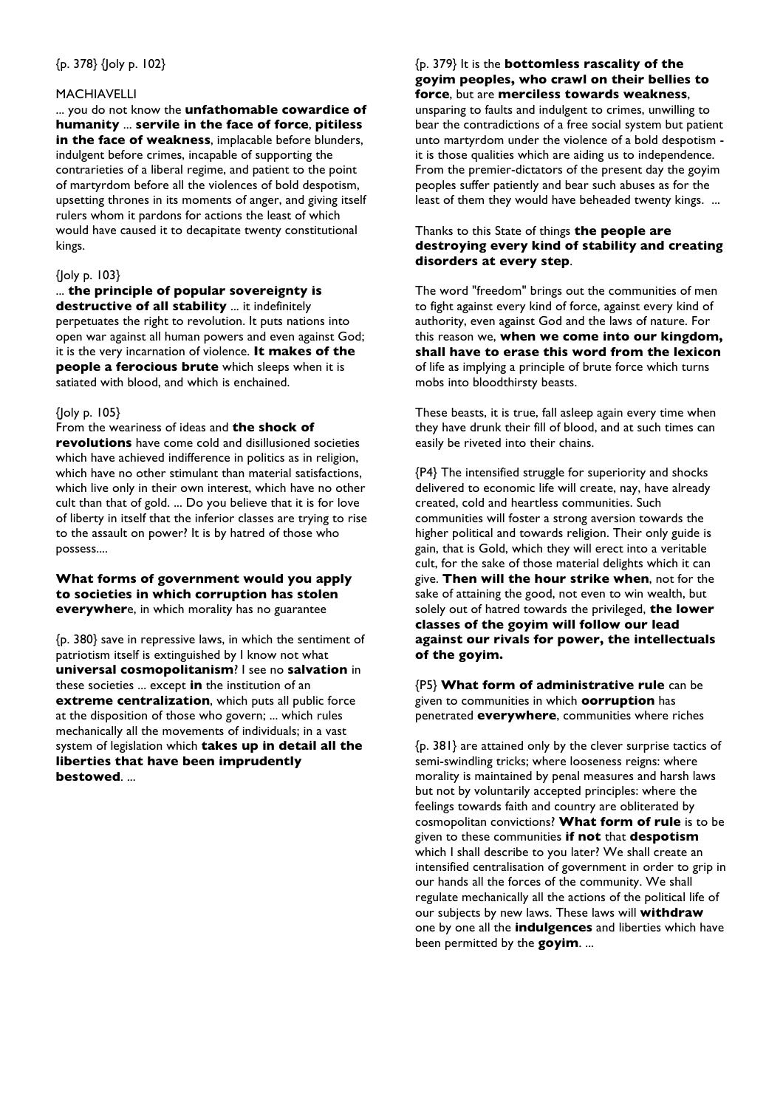{p. 378} {Joly p. 102}

### MACHIAVELLI

... you do not know the **unfathomable cowardice of humanity** ... **servile in the face of force**, **pitiless in the face of weakness**, implacable before blunders, indulgent before crimes, incapable of supporting the contrarieties of a liberal regime, and patient to the point of martyrdom before all the violences of bold despotism, upsetting thrones in its moments of anger, and giving itself rulers whom it pardons for actions the least of which would have caused it to decapitate twenty constitutional kings.

### {Joly p. 103}

... **the principle of popular sovereignty is destructive of all stability** ... it indefinitely perpetuates the right to revolution. It puts nations into open war against all human powers and even against God; it is the very incarnation of violence. **It makes of the people a ferocious brute** which sleeps when it is satiated with blood, and which is enchained.

#### {Joly p. 105}

From the weariness of ideas and **the shock of revolutions** have come cold and disillusioned societies which have achieved indifference in politics as in religion, which have no other stimulant than material satisfactions, which live only in their own interest, which have no other cult than that of gold. ... Do you believe that it is for love of liberty in itself that the inferior classes are trying to rise to the assault on power? It is by hatred of those who possess....

#### **What forms of government would you apply to societies in which corruption has stolen everywher**e, in which morality has no guarantee

{p. 380} save in repressive laws, in which the sentiment of patriotism itself is extinguished by I know not what **universal cosmopolitanism**? I see no **salvation** in these societies ... except **in** the institution of an **extreme centralization**, which puts all public force at the disposition of those who govern; ... which rules mechanically all the movements of individuals; in a vast system of legislation which **takes up in detail all the liberties that have been imprudently bestowed**. ...

# {p. 379} It is the **bottomless rascality of the goyim peoples, who crawl on their bellies to force**, but are **merciless towards weakness**,

unsparing to faults and indulgent to crimes, unwilling to bear the contradictions of a free social system but patient unto martyrdom under the violence of a bold despotism it is those qualities which are aiding us to independence. From the premier-dictators of the present day the goyim peoples suffer patiently and bear such abuses as for the least of them they would have beheaded twenty kings. ...

### Thanks to this State of things **the people are destroying every kind of stability and creating disorders at every step**.

The word "freedom" brings out the communities of men to fight against every kind of force, against every kind of authority, even against God and the laws of nature. For this reason we, **when we come into our kingdom, shall have to erase this word from the lexicon**  of life as implying a principle of brute force which turns mobs into bloodthirsty beasts.

These beasts, it is true, fall asleep again every time when they have drunk their fill of blood, and at such times can easily be riveted into their chains.

{P4} The intensified struggle for superiority and shocks delivered to economic life will create, nay, have already created, cold and heartless communities. Such communities will foster a strong aversion towards the higher political and towards religion. Their only guide is gain, that is Gold, which they will erect into a veritable cult, for the sake of those material delights which it can give. **Then will the hour strike when**, not for the sake of attaining the good, not even to win wealth, but solely out of hatred towards the privileged, **the lower classes of the goyim will follow our lead against our rivals for power, the intellectuals of the goyim.**

{P5} **What form of administrative rule** can be given to communities in which **oorruption** has penetrated **everywhere**, communities where riches

{p. 381} are attained only by the clever surprise tactics of semi-swindling tricks; where looseness reigns: where morality is maintained by penal measures and harsh laws but not by voluntarily accepted principles: where the feelings towards faith and country are obliterated by cosmopolitan convictions? **What form of rule** is to be given to these communities **if not** that **despotism** which I shall describe to you later? We shall create an intensified centralisation of government in order to grip in our hands all the forces of the community. We shall regulate mechanically all the actions of the political life of our subjects by new laws. These laws will **withdraw** one by one all the **indulgences** and liberties which have been permitted by the **goyim**. ...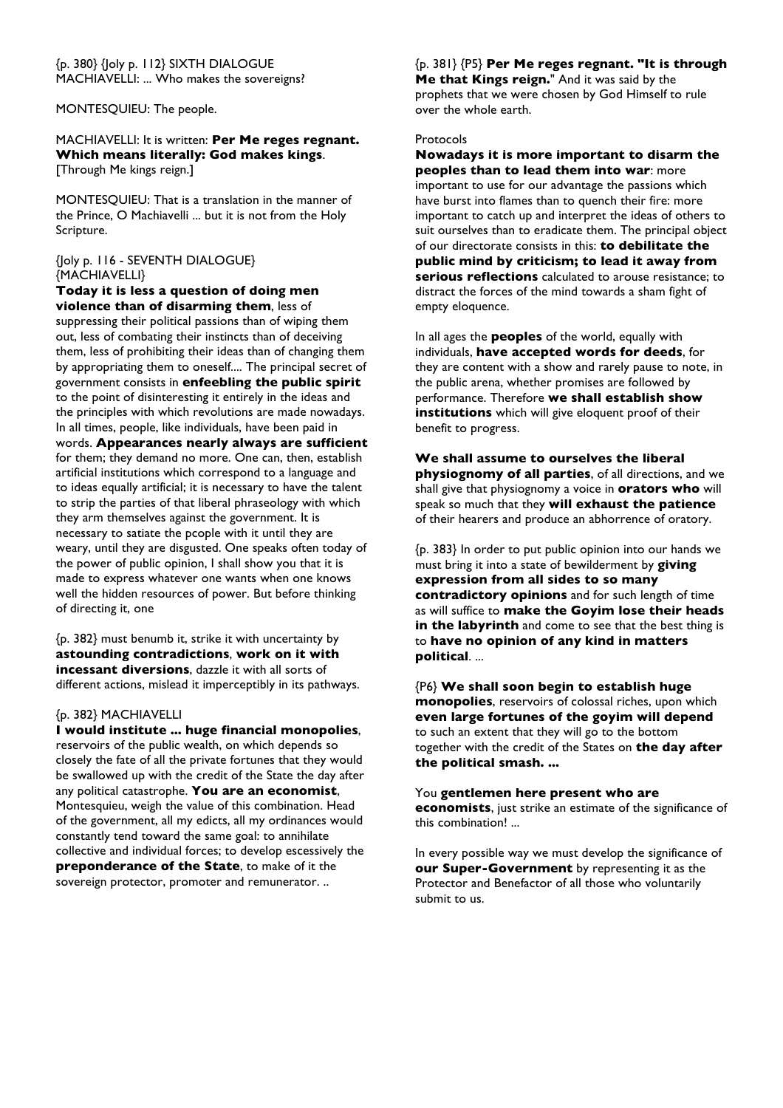{p. 380} {Joly p. 112} SIXTH DIALOGUE MACHIAVELLI: ... Who makes the sovereigns?

MONTESQUIEU: The people.

MACHIAVELLI: It is written: **Per Me reges regnant. Which means literally: God makes kings**. [Through Me kings reign.]

MONTESQUIEU: That is a translation in the manner of the Prince, O Machiavelli ... but it is not from the Holy Scripture.

{Joly p. 116 - SEVENTH DIALOGUE} {MACHIAVELLI}

**Today it is less a question of doing men violence than of disarming them**, less of suppressing their political passions than of wiping them out, less of combating their instincts than of deceiving them, less of prohibiting their ideas than of changing them by appropriating them to oneself.... The principal secret of government consists in **enfeebling the public spirit**  to the point of disinteresting it entirely in the ideas and the principles with which revolutions are made nowadays. In all times, people, like individuals, have been paid in words. **Appearances nearly always are sufficient** for them; they demand no more. One can, then, establish artificial institutions which correspond to a language and to ideas equally artificial; it is necessary to have the talent to strip the parties of that liberal phraseology with which they arm themselves against the government. It is necessary to satiate the pcople with it until they are weary, until they are disgusted. One speaks often today of the power of public opinion, I shall show you that it is made to express whatever one wants when one knows well the hidden resources of power. But before thinking of directing it, one

{p. 382} must benumb it, strike it with uncertainty by **astounding contradictions**, **work on it with incessant diversions**, dazzle it with all sorts of different actions, mislead it imperceptibly in its pathways.

## {p. 382} MACHIAVELLI

**I would institute ... huge financial monopolies**, reservoirs of the public wealth, on which depends so closely the fate of all the private fortunes that they would be swallowed up with the credit of the State the day after any political catastrophe. **You are an economist**, Montesquieu, weigh the value of this combination. Head of the government, all my edicts, all my ordinances would constantly tend toward the same goal: to annihilate collective and individual forces; to develop escessively the **preponderance of the State**, to make of it the sovereign protector, promoter and remunerator. ..

{p. 381} {P5} **Per Me reges regnant. "It is through** 

**Me that Kings reign.**" And it was said by the prophets that we were chosen by God Himself to rule over the whole earth.

#### Protocols

**Nowadays it is more important to disarm the peoples than to lead them into war**: more important to use for our advantage the passions which have burst into flames than to quench their fire: more important to catch up and interpret the ideas of others to suit ourselves than to eradicate them. The principal object of our directorate consists in this: **to debilitate the public mind by criticism; to lead it away from serious reflections** calculated to arouse resistance; to distract the forces of the mind towards a sham fight of empty eloquence.

In all ages the **peoples** of the world, equally with individuals, **have accepted words for deeds**, for they are content with a show and rarely pause to note, in the public arena, whether promises are followed by performance. Therefore **we shall establish show institutions** which will give eloquent proof of their benefit to progress.

**We shall assume to ourselves the liberal physiognomy of all parties**, of all directions, and we shall give that physiognomy a voice in **orators who** will speak so much that they **will exhaust the patience**  of their hearers and produce an abhorrence of oratory.

{p. 383} In order to put public opinion into our hands we must bring it into a state of bewilderment by **giving expression from all sides to so many contradictory opinions** and for such length of time as will suffice to **make the Goyim lose their heads in the labyrinth** and come to see that the best thing is to **have no opinion of any kind in matters political**. ...

{P6} **We shall soon begin to establish huge monopolies**, reservoirs of colossal riches, upon which **even large fortunes of the goyim will depend** to such an extent that they will go to the bottom together with the credit of the States on **the day after the political smash. ...** 

You **gentlemen here present who are economists**, just strike an estimate of the significance of this combination! ...

In every possible way we must develop the significance of **our Super-Government** by representing it as the Protector and Benefactor of all those who voluntarily submit to us.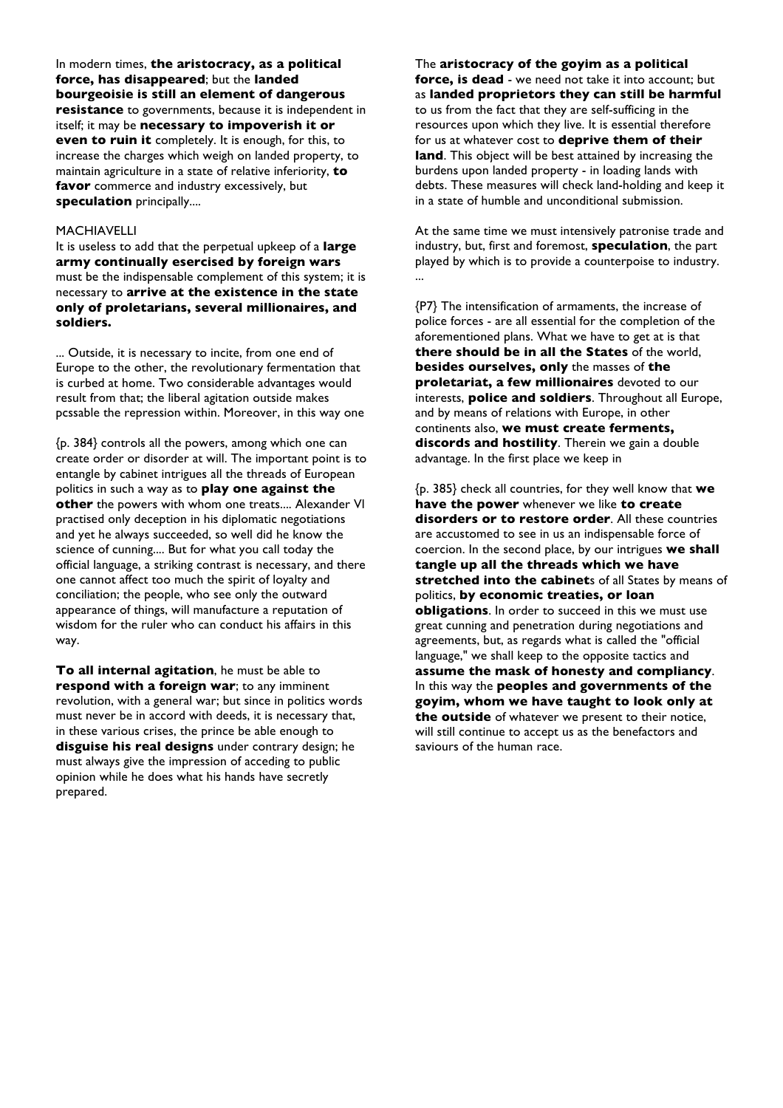In modern times, **the aristocracy, as a political force, has disappeared**; but the **landed bourgeoisie is still an element of dangerous resistance** to governments, because it is independent in itself; it may be **necessary to impoverish it or even to ruin it** completely. It is enough, for this, to increase the charges which weigh on landed property, to maintain agriculture in a state of relative inferiority, **to favor** commerce and industry excessively, but **speculation** principally....

### MACHIAVELLI

It is useless to add that the perpetual upkeep of a **large army continually esercised by foreign wars**  must be the indispensable complement of this system; it is necessary to **arrive at the existence in the state only of proletarians, several millionaires, and soldiers.**

... Outside, it is necessary to incite, from one end of Europe to the other, the revolutionary fermentation that is curbed at home. Two considerable advantages would result from that; the liberal agitation outside makes pcssable the repression within. Moreover, in this way one

{p. 384} controls all the powers, among which one can create order or disorder at will. The important point is to entangle by cabinet intrigues all the threads of European politics in such a way as to **play one against the other** the powers with whom one treats.... Alexander Vl practised only deception in his diplomatic negotiations and yet he always succeeded, so well did he know the science of cunning.... But for what you call today the official language, a striking contrast is necessary, and there one cannot affect too much the spirit of loyalty and conciliation; the people, who see only the outward appearance of things, will manufacture a reputation of wisdom for the ruler who can conduct his affairs in this way.

**To all internal agitation**, he must be able to **respond with a foreign war**; to any imminent revolution, with a general war; but since in politics words must never be in accord with deeds, it is necessary that, in these various crises, the prince be able enough to **disguise his real designs** under contrary design; he must always give the impression of acceding to public opinion while he does what his hands have secretly prepared.

The **aristocracy of the goyim as a political force, is dead** - we need not take it into account; but as **landed proprietors they can still be harmful**  to us from the fact that they are self-sufficing in the resources upon which they live. It is essential therefore for us at whatever cost to **deprive them of their land**. This object will be best attained by increasing the burdens upon landed property - in loading lands with debts. These measures will check land-holding and keep it in a state of humble and unconditional submission.

At the same time we must intensively patronise trade and industry, but, first and foremost, **speculation**, the part played by which is to provide a counterpoise to industry. ...

{P7} The intensification of armaments, the increase of police forces - are all essential for the completion of the aforementioned plans. What we have to get at is that **there should be in all the States** of the world, **besides ourselves, only** the masses of **the proletariat, a few millionaires** devoted to our interests, **police and soldiers**. Throughout all Europe, and by means of relations with Europe, in other continents also, **we must create ferments, discords and hostility**. Therein we gain a double advantage. In the first place we keep in

{p. 385} check all countries, for they well know that **we have the power** whenever we like **to create disorders or to restore order**. All these countries are accustomed to see in us an indispensable force of coercion. In the second place, by our intrigues **we shall tangle up all the threads which we have stretched into the cabinet**s of all States by means of politics, **by economic treaties, or loan obligations**. In order to succeed in this we must use great cunning and penetration during negotiations and agreements, but, as regards what is called the "official language," we shall keep to the opposite tactics and **assume the mask of honesty and compliancy**. In this way the **peoples and governments of the goyim, whom we have taught to look only at the outside** of whatever we present to their notice, will still continue to accept us as the benefactors and saviours of the human race.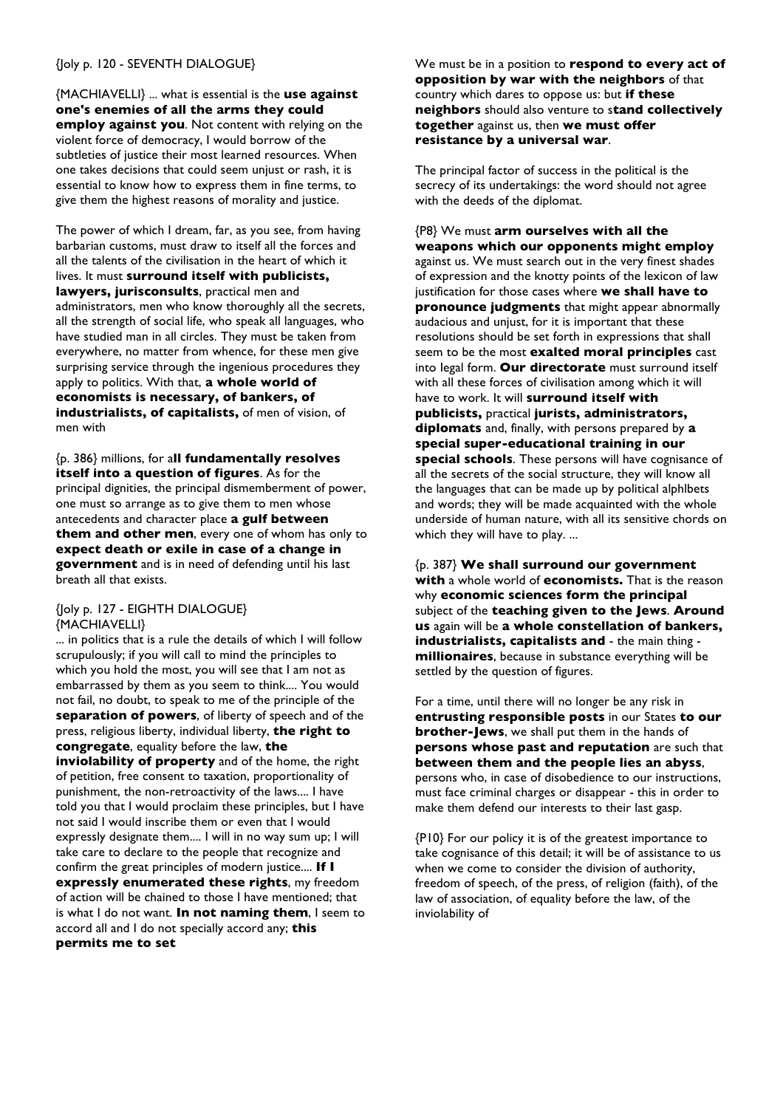## {Joly p. 120 - SEVENTH DIALOGUE}

{MACHIAVELLI} ... what is essential is the **use against one's enemies of all the arms they could employ against you**. Not content with relying on the violent force of democracy, I would borrow of the subtleties of justice their most learned resources. When one takes decisions that could seem unjust or rash, it is essential to know how to express them in fine terms, to give them the highest reasons of morality and justice.

The power of which I dream, far, as you see, from having barbarian customs, must draw to itself all the forces and all the talents of the civilisation in the heart of which it lives. It must **surround itself with publicists, lawyers, jurisconsults**, practical men and administrators, men who know thoroughly all the secrets, all the strength of social life, who speak all languages, who have studied man in all circles. They must be taken from everywhere, no matter from whence, for these men give surprising service through the ingenious procedures they apply to politics. With that, **a whole world of economists is necessary, of bankers, of industrialists, of capitalists,** of men of vision, of men with

{p. 386} millions, for a**ll fundamentally resolves itself into a question of figures**. As for the principal dignities, the principal dismemberment of power, one must so arrange as to give them to men whose antecedents and character place **a gulf between them and other men**, every one of whom has only to **expect death or exile in case of a change in government** and is in need of defending until his last breath all that exists.

#### {Joly p. 127 - EIGHTH DIALOGUE} {MACHIAVELLI}

... in politics that is a rule the details of which I will follow scrupulously; if you will call to mind the principles to which you hold the most, you will see that I am not as embarrassed by them as you seem to think.... You would not fail, no doubt, to speak to me of the principle of the **separation of powers**, of liberty of speech and of the press, religious liberty, individual liberty, **the right to congregate**, equality before the law, **the inviolability of property** and of the home, the right of petition, free consent to taxation, proportionality of punishment, the non-retroactivity of the laws.... I have told you that I would proclaim these principles, but I have not said I would inscribe them or even that I would expressly designate them.... I will in no way sum up; I will take care to declare to the people that recognize and confirm the great principles of modern justice.... **If I expressly enumerated these rights**, my freedom of action will be chained to those I have mentioned; that is what I do not want. **In not naming them**, I seem to accord all and I do not specially accord any; **this permits me to set** 

We must be in a position to **respond to every act of opposition by war with the neighbors** of that country which dares to oppose us: but **if these neighbors** should also venture to s**tand collectively together** against us, then **we must offer resistance by a universal war**.

The principal factor of success in the political is the secrecy of its undertakings: the word should not agree with the deeds of the diplomat.

{P8} We must **arm ourselves with all the weapons which our opponents might employ** against us. We must search out in the very finest shades of expression and the knotty points of the lexicon of law justification for those cases where **we shall have to pronounce judgments** that might appear abnormally audacious and unjust, for it is important that these resolutions should be set forth in expressions that shall seem to be the most **exalted moral principles** cast into Iegal form. **Our directorate** must surround itself with all these forces of civilisation among which it will have to work. It will **surround itself with publicists,** practical **jurists, administrators, diplomats** and, finally, with persons prepared by **a special super-educational training in our special schools**. These persons will have cognisance of all the secrets of the social structure, they will know all the languages that can be made up by political alphlbets and words; they will be made acquainted with the whole underside of human nature, with all its sensitive chords on which they will have to play. ...

{p. 387} **We shall surround our government with** a whole world of **economists.** That is the reason why **economic sciences form the principal** subject of the **teaching given to the Jews**. **Around us** again will be **a whole constellation of bankers, industrialists, capitalists and** - the main thing **millionaires**, because in substance everything will be settled by the question of figures.

For a time, until there will no longer be any risk in **entrusting responsible posts** in our States **to our brother-Jews**, we shall put them in the hands of **persons whose past and reputation** are such that **between them and the people lies an abyss**, persons who, in case of disobedience to our instructions, must face criminal charges or disappear - this in order to make them defend our interests to their last gasp.

{P10} For our policy it is of the greatest importance to take cognisance of this detail; it will be of assistance to us when we come to consider the division of authority, freedom of speech, of the press, of religion (faith), of the law of association, of equality before the law, of the inviolability of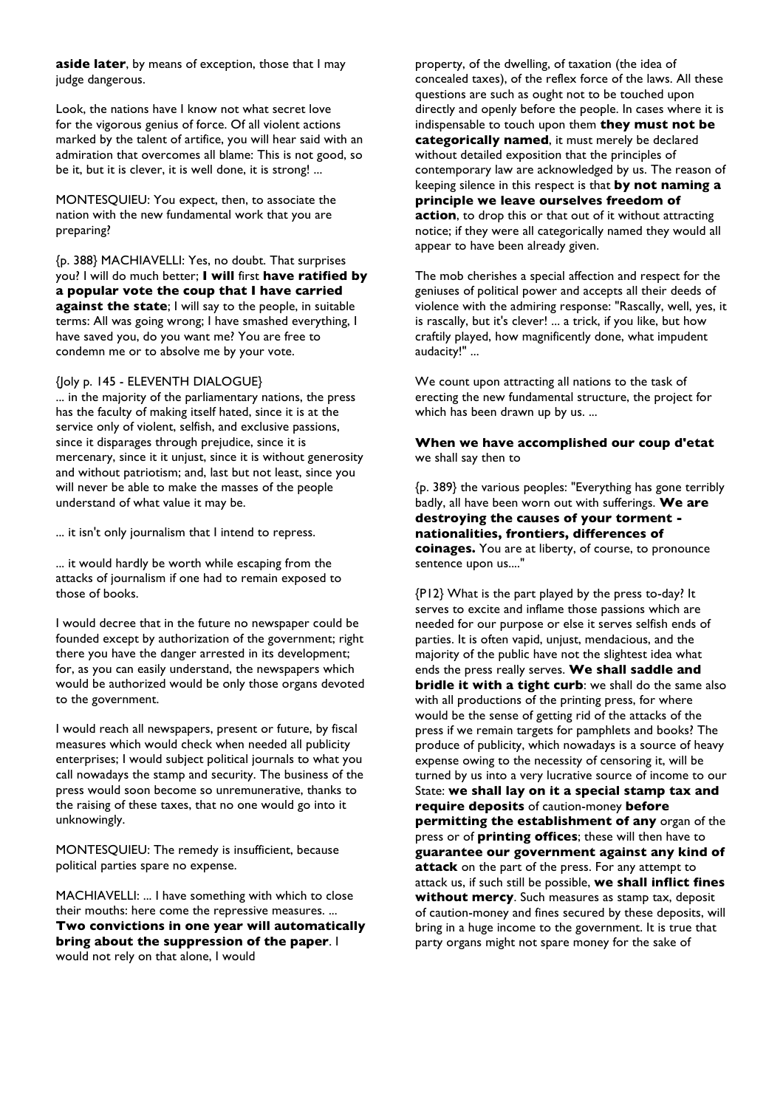**aside later**, by means of exception, those that I may judge dangerous.

Look, the nations have I know not what secret love for the vigorous genius of force. Of all violent actions marked by the talent of artifice, you will hear said with an admiration that overcomes all blame: This is not good, so be it, but it is clever, it is well done, it is strong! ...

MONTESQUIEU: You expect, then, to associate the nation with the new fundamental work that you are preparing?

{p. 388} MACHIAVELLI: Yes, no doubt. That surprises you? I will do much better; **I will** first **have ratified by a popular vote the coup that I have carried against the state**; I will say to the people, in suitable terms: All was going wrong; I have smashed everything, I have saved you, do you want me? You are free to condemn me or to absolve me by your vote.

#### {Joly p. 145 - ELEVENTH DIALOGUE}

... in the majority of the parliamentary nations, the press has the faculty of making itself hated, since it is at the service only of violent, selfish, and exclusive passions, since it disparages through prejudice, since it is mercenary, since it it unjust, since it is without generosity and without patriotism; and, last but not least, since you will never be able to make the masses of the people understand of what value it may be.

... it isn't only journalism that I intend to repress.

... it would hardly be worth while escaping from the attacks of journalism if one had to remain exposed to those of books.

I would decree that in the future no newspaper could be founded except by authorization of the government; right there you have the danger arrested in its development; for, as you can easily understand, the newspapers which would be authorized would be only those organs devoted to the government.

I would reach all newspapers, present or future, by fiscal measures which would check when needed all publicity enterprises; I would subject political journals to what you call nowadays the stamp and security. The business of the press would soon become so unremunerative, thanks to the raising of these taxes, that no one would go into it unknowingly.

MONTESQUIEU: The remedy is insufficient, because political parties spare no expense.

MACHIAVELLI: ... I have something with which to close their mouths: here come the repressive measures. ... **Two convictions in one year will automatically bring about the suppression of the paper**. I would not rely on that alone, I would

property, of the dwelling, of taxation (the idea of concealed taxes), of the reflex force of the laws. All these questions are such as ought not to be touched upon directly and openly before the people. In cases where it is indispensable to touch upon them **they must not be categorically named**, it must merely be declared without detailed exposition that the principles of contemporary law are acknowledged by us. The reason of keeping silence in this respect is that **by not naming a principle we leave ourselves freedom of action**, to drop this or that out of it without attracting notice; if they were all categorically named they would all appear to have been already given.

The mob cherishes a special affection and respect for the geniuses of political power and accepts all their deeds of violence with the admiring response: "Rascally, well, yes, it is rascally, but it's clever! ... a trick, if you like, but how craftily played, how magnificently done, what impudent audacity!" ...

We count upon attracting all nations to the task of erecting the new fundamental structure, the project for which has been drawn up by us. ...

#### **When we have accomplished our coup d'etat** we shall say then to

{p. 389} the various peoples: "Everything has gone terribly badly, all have been worn out with sufferings. **We are destroying the causes of your torment nationalities, frontiers, differences of coinages.** You are at liberty, of course, to pronounce sentence upon us...."

{P12} What is the part played by the press to-day? It serves to excite and inflame those passions which are needed for our purpose or else it serves selfish ends of parties. It is often vapid, unjust, mendacious, and the majority of the public have not the slightest idea what ends the press really serves. **We shall saddle and bridle it with a tight curb**: we shall do the same also with all productions of the printing press, for where would be the sense of getting rid of the attacks of the press if we remain targets for pamphlets and books? The produce of publicity, which nowadays is a source of heavy expense owing to the necessity of censoring it, will be turned by us into a very lucrative source of income to our State: **we shall lay on it a special stamp tax and require deposits** of caution-money **before permitting the establishment of any** organ of the press or of **printing offices**; these will then have to **guarantee our government against any kind of attack** on the part of the press. For any attempt to attack us, if such still be possible, **we shall inflict fines without mercy**. Such measures as stamp tax, deposit of caution-money and fines secured by these deposits, will bring in a huge income to the government. It is true that party organs might not spare money for the sake of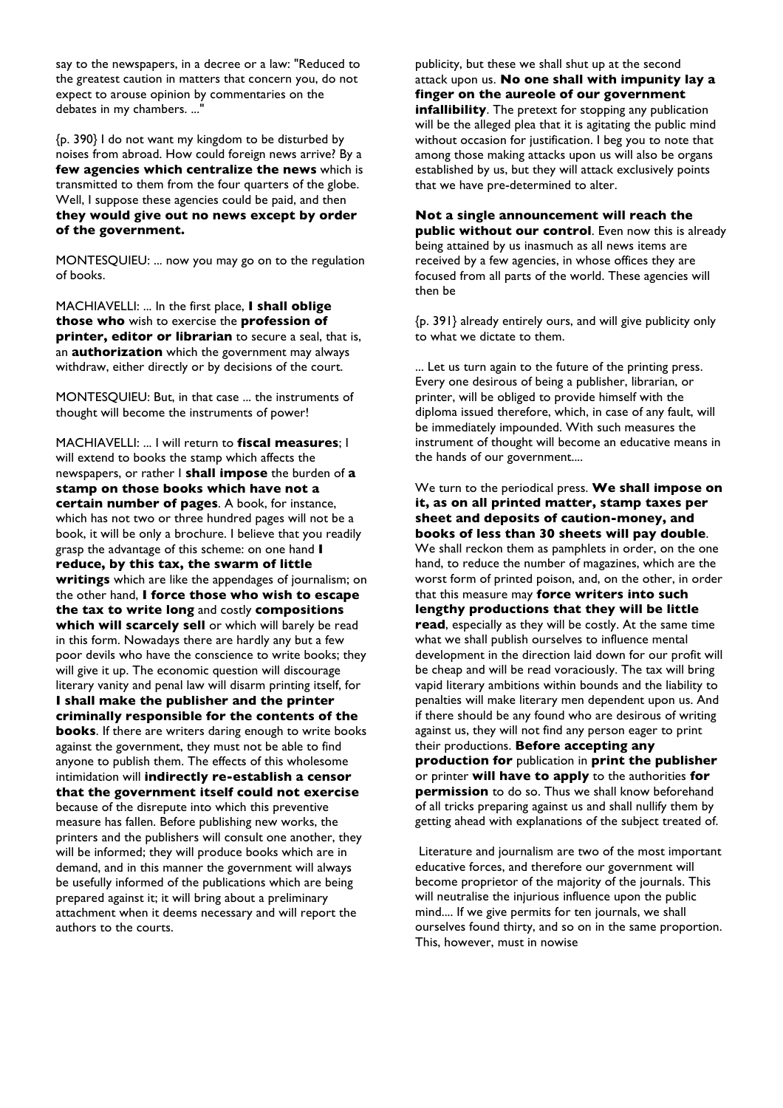say to the newspapers, in a decree or a law: "Reduced to the greatest caution in matters that concern you, do not expect to arouse opinion by commentaries on the debates in my chambers. ...'

{p. 390} I do not want my kingdom to be disturbed by noises from abroad. How could foreign news arrive? By a **few agencies which centralize the news** which is transmitted to them from the four quarters of the globe. Well, I suppose these agencies could be paid, and then **they would give out no news except by order of the government.** 

MONTESQUIEU: ... now you may go on to the regulation of books.

MACHIAVELLI: ... In the first place, **I shall oblige those who** wish to exercise the **profession of printer, editor or librarian** to secure a seal, that is, an **authorization** which the government may always withdraw, either directly or by decisions of the court.

MONTESQUIEU: But, in that case ... the instruments of thought will become the instruments of power!

MACHIAVELLI: ... I will return to **fiscal measures**; I will extend to books the stamp which affects the newspapers, or rather I **shall impose** the burden of **a stamp on those books which have not a certain number of pages**. A book, for instance, which has not two or three hundred pages will not be a book, it will be only a brochure. I believe that you readily grasp the advantage of this scheme: on one hand **I reduce, by this tax, the swarm of little writings** which are like the appendages of journalism; on the other hand, **I force those who wish to escape the tax to write long** and costly **compositions which will scarcely sell** or which will barely be read in this form. Nowadays there are hardly any but a few poor devils who have the conscience to write books; they will give it up. The economic question will discourage literary vanity and penal law will disarm printing itself, for **I shall make the publisher and the printer criminally responsible for the contents of the books**. If there are writers daring enough to write books against the government, they must not be able to find anyone to publish them. The effects of this wholesome intimidation will **indirectly re-establish a censor that the government itself could not exercise**  because of the disrepute into which this preventive measure has fallen. Before publishing new works, the printers and the publishers will consult one another, they will be informed; they will produce books which are in demand, and in this manner the government will always be usefully informed of the publications which are being prepared against it; it will bring about a preliminary attachment when it deems necessary and will report the authors to the courts.

publicity, but these we shall shut up at the second attack upon us. **No one shall with impunity lay a finger on the aureole of our government infallibility**. The pretext for stopping any publication will be the alleged plea that it is agitating the public mind without occasion for justification. I beg you to note that among those making attacks upon us will also be organs established by us, but they will attack exclusively points that we have pre-determined to alter.

**Not a single announcement will reach the public without our control**. Even now this is already being attained by us inasmuch as all news items are received by a few agencies, in whose offices they are focused from all parts of the world. These agencies will then be

{p. 391} already entirely ours, and will give publicity only to what we dictate to them.

... Let us turn again to the future of the printing press. Every one desirous of being a publisher, librarian, or printer, will be obliged to provide himself with the diploma issued therefore, which, in case of any fault, will be immediately impounded. With such measures the instrument of thought will become an educative means in the hands of our government....

We turn to the periodical press. **We shall impose on it, as on all printed matter, stamp taxes per sheet and deposits of caution-money, and books of less than 30 sheets will pay double**. We shall reckon them as pamphlets in order, on the one hand, to reduce the number of magazines, which are the worst form of printed poison, and, on the other, in order that this measure may **force writers into such lengthy productions that they will be little read**, especially as they will be costly. At the same time what we shall publish ourselves to influence mental development in the direction laid down for our profit will be cheap and will be read voraciously. The tax will bring vapid literary ambitions within bounds and the liability to penalties will make literary men dependent upon us. And if there should be any found who are desirous of writing against us, they will not find any person eager to print their productions. **Before accepting any production for** publication in **print the publisher** or printer **will have to apply** to the authorities **for permission** to do so. Thus we shall know beforehand of all tricks preparing against us and shall nullify them by getting ahead with explanations of the subject treated of.

Literature and journalism are two of the most important educative forces, and therefore our government will become proprietor of the majority of the journals. This will neutralise the injurious influence upon the public mind.... If we give permits for ten journals, we shall ourselves found thirty, and so on in the same proportion. This, however, must in nowise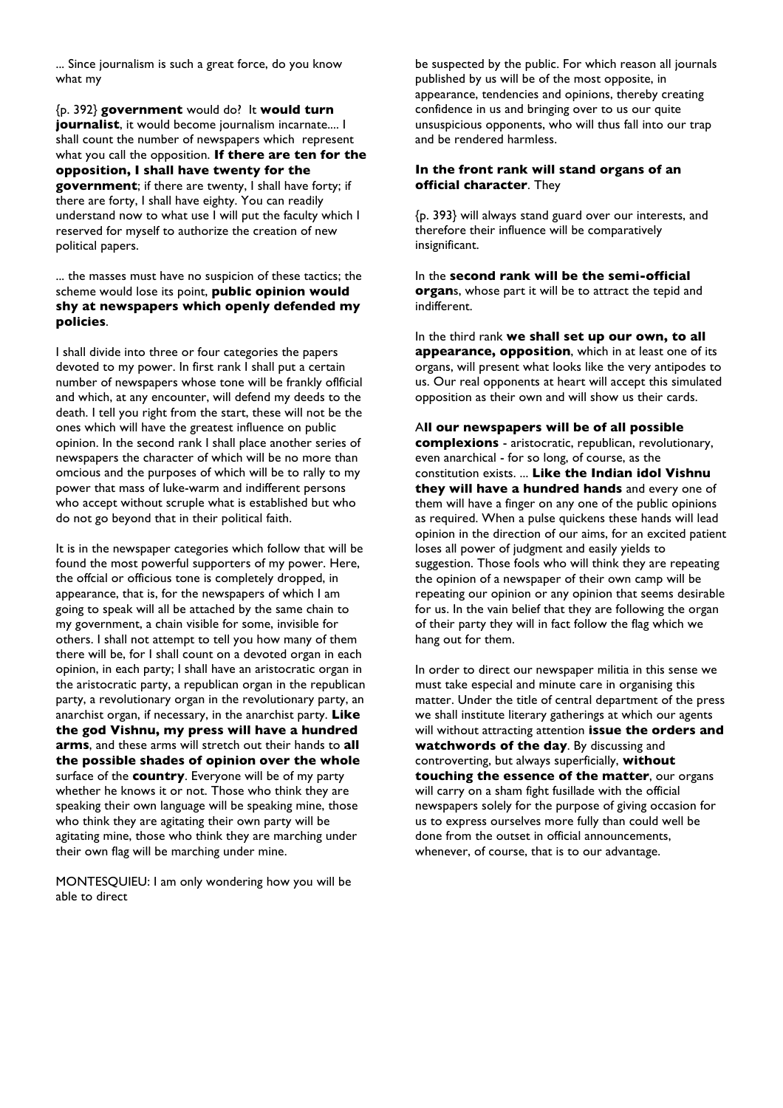... Since journalism is such a great force, do you know what my

{p. 392} **government** would do? It **would turn journalist**, it would become journalism incarnate.... I shall count the number of newspapers which represent what you call the opposition. **If there are ten for the opposition, I shall have twenty for the government**; if there are twenty, I shall have forty; if there are forty, I shall have eighty. You can readily understand now to what use I will put the faculty which I reserved for myself to authorize the creation of new political papers.

... the masses must have no suspicion of these tactics; the scheme would lose its point, **public opinion would shy at newspapers which openly defended my policies**.

I shall divide into three or four categories the papers devoted to my power. In first rank I shall put a certain number of newspapers whose tone will be frankly oflficial and which, at any encounter, will defend my deeds to the death. I tell you right from the start, these will not be the ones which will have the greatest influence on public opinion. In the second rank I shall place another series of newspapers the character of which will be no more than omcious and the purposes of which will be to rally to my power that mass of luke-warm and indifferent persons who accept without scruple what is established but who do not go beyond that in their political faith.

It is in the newspaper categories which follow that will be found the most powerful supporters of my power. Here, the offcial or officious tone is completely dropped, in appearance, that is, for the newspapers of which I am going to speak will all be attached by the same chain to my government, a chain visible for some, invisible for others. I shall not attempt to tell you how many of them there will be, for I shall count on a devoted organ in each opinion, in each party; I shall have an aristocratic organ in the aristocratic party, a republican organ in the republican party, a revolutionary organ in the revolutionary party, an anarchist organ, if necessary, in the anarchist party. **Like the god Vishnu, my press will have a hundred arms**, and these arms will stretch out their hands to **all the possible shades of opinion over the whole** surface of the **country**. Everyone will be of my party whether he knows it or not. Those who think they are speaking their own language will be speaking mine, those who think they are agitating their own party will be agitating mine, those who think they are marching under their own flag will be marching under mine.

MONTESQUIEU: I am only wondering how you will be able to direct

be suspected by the public. For which reason all journals published by us will be of the most opposite, in appearance, tendencies and opinions, thereby creating confidence in us and bringing over to us our quite unsuspicious opponents, who will thus fall into our trap and be rendered harmless.

## **In the front rank will stand organs of an official character**. They

{p. 393} will always stand guard over our interests, and therefore their influence will be comparatively insignificant.

In the **second rank will be the semi-official organ**s, whose part it will be to attract the tepid and indifferent.

In the third rank **we shall set up our own, to all appearance, opposition**, which in at least one of its organs, will present what looks like the very antipodes to us. Our real opponents at heart will accept this simulated opposition as their own and will show us their cards.

A**ll our newspapers will be of all possible complexions** - aristocratic, republican, revolutionary, even anarchical - for so long, of course, as the constitution exists. ... **Like the Indian idol Vishnu they will have a hundred hands** and every one of them will have a finger on any one of the public opinions as required. When a pulse quickens these hands will lead opinion in the direction of our aims, for an excited patient loses all power of judgment and easily yields to suggestion. Those fools who will think they are repeating the opinion of a newspaper of their own camp will be repeating our opinion or any opinion that seems desirable for us. In the vain belief that they are following the organ of their party they will in fact follow the flag which we hang out for them.

In order to direct our newspaper militia in this sense we must take especial and minute care in organising this matter. Under the title of central department of the press we shall institute literary gatherings at which our agents will without attracting attention **issue the orders and watchwords of the day**. By discussing and controverting, but always superficially, **without touching the essence of the matter**, our organs will carry on a sham fight fusillade with the official newspapers solely for the purpose of giving occasion for us to express ourselves more fully than could well be done from the outset in official announcements, whenever, of course, that is to our advantage.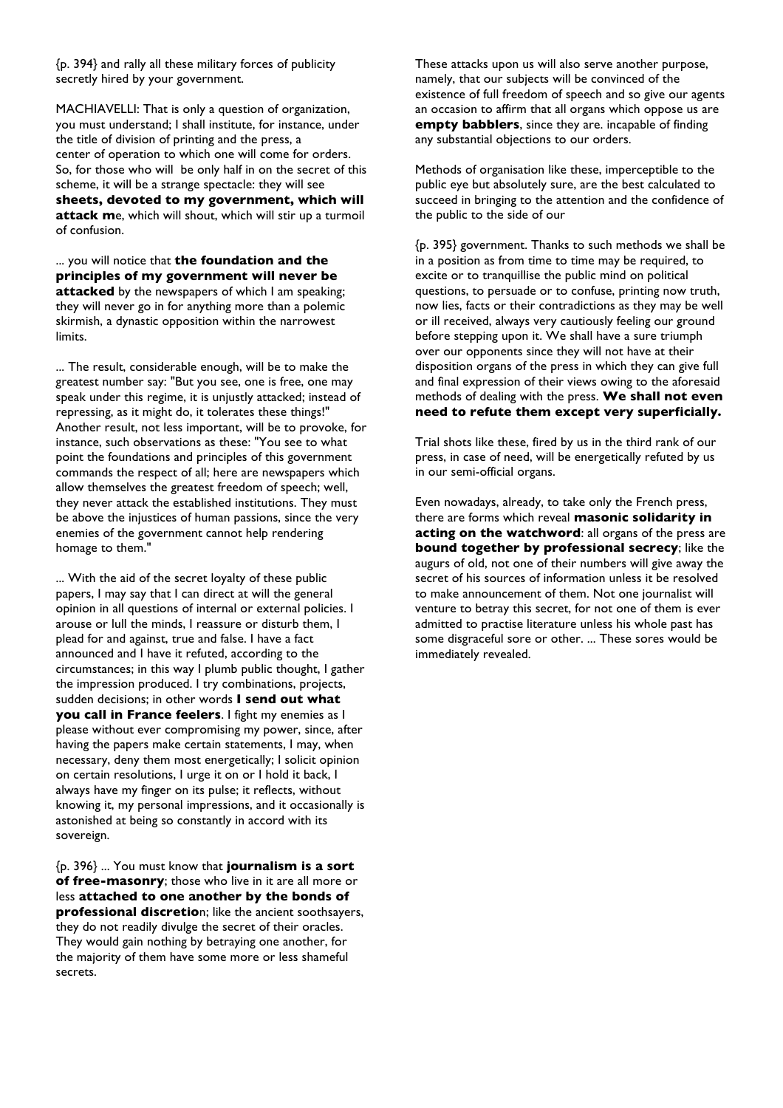{p. 394} and rally all these military forces of publicity secretly hired by your government.

MACHIAVELLI: That is only a question of organization, you must understand; I shall institute, for instance, under the title of division of printing and the press, a center of operation to which one will come for orders. So, for those who will be only half in on the secret of this scheme, it will be a strange spectacle: they will see **sheets, devoted to my government, which will attack m**e, which will shout, which will stir up a turmoil of confusion.

... you will notice that **the foundation and the principles of my government will never be attacked** by the newspapers of which I am speaking; they will never go in for anything more than a polemic skirmish, a dynastic opposition within the narrowest limits.

... The result, considerable enough, will be to make the greatest number say: "But you see, one is free, one may speak under this regime, it is unjustly attacked; instead of repressing, as it might do, it tolerates these things!" Another result, not less important, will be to provoke, for instance, such observations as these: "You see to what point the foundations and principles of this government commands the respect of all; here are newspapers which allow themselves the greatest freedom of speech; well, they never attack the established institutions. They must be above the injustices of human passions, since the very enemies of the government cannot help rendering homage to them."

... With the aid of the secret loyalty of these public papers, I may say that I can direct at will the general opinion in all questions of internal or external policies. I arouse or lull the minds, I reassure or disturb them, I plead for and against, true and false. I have a fact announced and I have it refuted, according to the circumstances; in this way I plumb public thought, I gather the impression produced. I try combinations, projects, sudden decisions; in other words **I send out what you call in France feelers**. I fight my enemies as I please without ever compromising my power, since, after having the papers make certain statements, I may, when necessary, deny them most energetically; I solicit opinion on certain resolutions, I urge it on or I hold it back, I always have my finger on its pulse; it reflects, without knowing it, my personal impressions, and it occasionally is astonished at being so constantly in accord with its sovereign.

{p. 396} ... You must know that **journalism is a sort of free-masonry**; those who live in it are all more or less **attached to one another by the bonds of professional discretio**n; like the ancient soothsayers, they do not readily divulge the secret of their oracles. They would gain nothing by betraying one another, for the majority of them have some more or less shameful secrets.

These attacks upon us will also serve another purpose, namely, that our subjects will be convinced of the existence of full freedom of speech and so give our agents an occasion to affirm that all organs which oppose us are **empty babblers**, since they are. incapable of finding any substantial objections to our orders.

Methods of organisation like these, imperceptible to the public eye but absolutely sure, are the best calculated to succeed in bringing to the attention and the confidence of the public to the side of our

{p. 395} government. Thanks to such methods we shall be in a position as from time to time may be required, to excite or to tranquillise the public mind on political questions, to persuade or to confuse, printing now truth, now lies, facts or their contradictions as they may be well or ill received, always very cautiously feeling our ground before stepping upon it. We shall have a sure triumph over our opponents since they will not have at their disposition organs of the press in which they can give full and final expression of their views owing to the aforesaid methods of dealing with the press. **We shall not even need to refute them except very superficially.** 

Trial shots like these, fired by us in the third rank of our press, in case of need, will be energetically refuted by us in our semi-official organs.

Even nowadays, already, to take only the French press, there are forms which reveal **masonic solidarity in acting on the watchword**: all organs of the press are **bound together by professional secrecy**; like the augurs of old, not one of their numbers will give away the secret of his sources of information unless it be resolved to make announcement of them. Not one journalist will venture to betray this secret, for not one of them is ever admitted to practise literature unless his whole past has some disgraceful sore or other. ... These sores would be immediately revealed.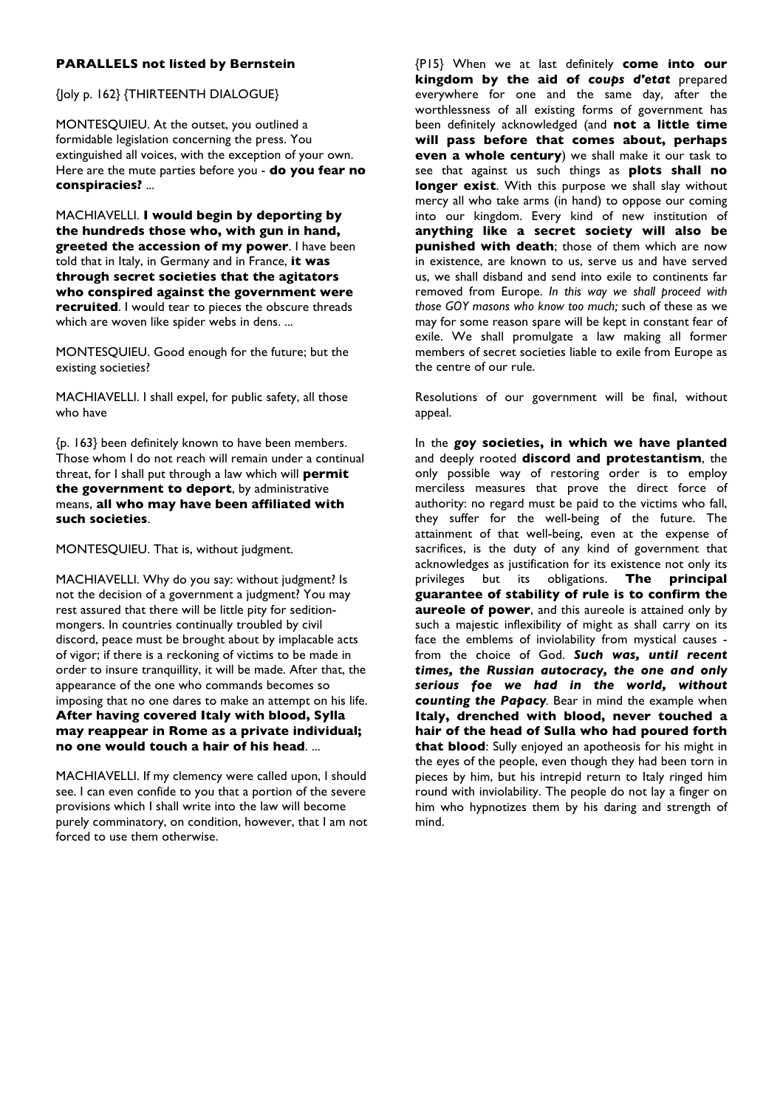# **PARALLELS not listed by Bernstein**

{Joly p. 162} {THIRTEENTH DIALOGUE}

MONTESQUIEU. At the outset, you outlined a formidable legislation concerning the press. You extinguished all voices, with the exception of your own. Here are the mute parties before you - **do you fear no conspiracies?** ...

MACHIAVELLI. **I would begin by deporting by the hundreds those who, with gun in hand, greeted the accession of my power**. I have been told that in Italy, in Germany and in France, **it was through secret societies that the agitators who conspired against the government were recruited**. I would tear to pieces the obscure threads which are woven like spider webs in dens. ...

MONTESQUIEU. Good enough for the future; but the existing societies?

MACHIAVELLI. I shall expel, for public safety, all those who have

{p. 163} been definitely known to have been members. Those whom I do not reach will remain under a continual threat, for I shall put through a law which will **permit the government to deport**, by administrative means, **all who may have been affiliated with such societies**.

MONTESQUIEU. That is, without judgment.

MACHIAVELLI. Why do you say: without judgment? Is not the decision of a government a judgment? You may rest assured that there will be little pity for seditionmongers. In countries continually troubled by civil discord, peace must be brought about by implacable acts of vigor; if there is a reckoning of victims to be made in order to insure tranquillity, it will be made. After that, the appearance of the one who commands becomes so imposing that no one dares to make an attempt on his life. **After having covered Italy with blood, Sylla may reappear in Rome as a private individual; no one would touch a hair of his head**. ...

MACHIAVELLI. If my clemency were called upon, I should see. I can even confide to you that a portion of the severe provisions which I shall write into the law will become purely comminatory, on condition, however, that I am not forced to use them otherwise.

{P15} When we at last definitely **come into our kingdom by the aid of** *coups d'etat* prepared everywhere for one and the same day, after the worthlessness of all existing forms of government has been definitely acknowledged (and **not a little time will pass before that comes about, perhaps even a whole century**) we shall make it our task to see that against us such things as **plots shall no longer exist**. With this purpose we shall slay without mercy all who take arms (in hand) to oppose our coming into our kingdom. Every kind of new institution of **anything like a secret society will also be punished with death**; those of them which are now in existence, are known to us, serve us and have served us, we shall disband and send into exile to continents far removed from Europe. *In this way we shall proceed with those GOY masons who know too much;* such of these as we may for some reason spare will be kept in constant fear of exile. We shall promulgate a law making all former members of secret societies liable to exile from Europe as the centre of our rule.

Resolutions of our government will be final, without appeal.

In the *goy* **societies, in which we have planted** and deeply rooted **discord and protestantism**, the only possible way of restoring order is to employ merciless measures that prove the direct force of authority: no regard must be paid to the victims who fall, they suffer for the well-being of the future. The attainment of that well-being, even at the expense of sacrifices, is the duty of any kind of government that acknowledges as justification for its existence not only its privileges but its obligations. **The principal guarantee of stability of rule is to confirm the aureole of power**, and this aureole is attained only by such a majestic inflexibility of might as shall carry on its face the emblems of inviolability from mystical causes from the choice of God. *Such was, until recent times, the Russian autocracy, the one and only serious foe we had in the world, without counting the Papacy.* Bear in mind the example when **Italy, drenched with blood, never touched a hair of the head of Sulla who had poured forth that blood**: Sully enjoyed an apotheosis for his might in the eyes of the people, even though they had been torn in pieces by him, but his intrepid return to Italy ringed him round with inviolability. The people do not lay a finger on him who hypnotizes them by his daring and strength of mind.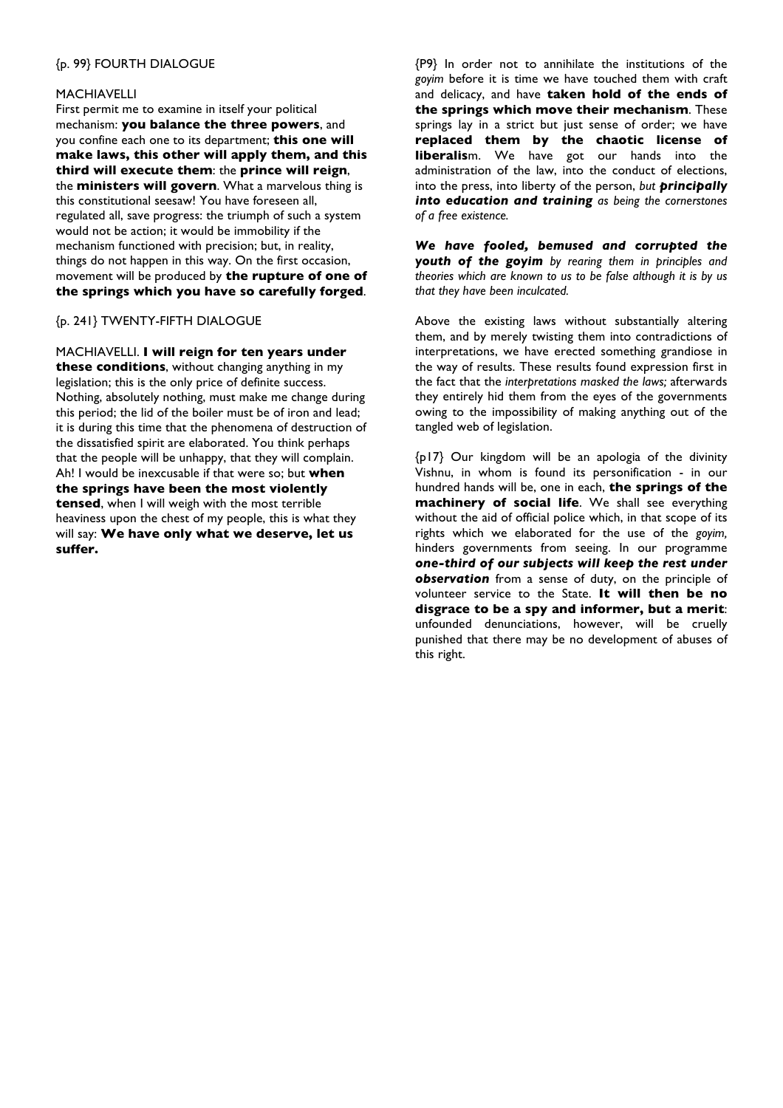# {p. 99} FOURTH DIALOGUE

## MACHIAVELLI

First permit me to examine in itself your political mechanism: **you balance the three powers**, and you confine each one to its department; **this one will make laws, this other will apply them, and this third will execute them**: the **prince will reign**, the **ministers will govern**. What a marvelous thing is this constitutional seesaw! You have foreseen all, regulated all, save progress: the triumph of such a system would not be action; it would be immobility if the mechanism functioned with precision; but, in reality, things do not happen in this way. On the first occasion, movement will be produced by **the rupture of one of the springs which you have so carefully forged**.

## {p. 241} TWENTY-FIFTH DIALOGUE

MACHIAVELLI. **I will reign for ten years under these conditions**, without changing anything in my legislation; this is the only price of definite success. Nothing, absolutely nothing, must make me change during this period; the lid of the boiler must be of iron and lead; it is during this time that the phenomena of destruction of

the dissatisfied spirit are elaborated. You think perhaps that the people will be unhappy, that they will complain. Ah! I would be inexcusable if that were so; but **when the springs have been the most violently tensed**, when I will weigh with the most terrible heaviness upon the chest of my people, this is what they will say: **We have only what we deserve, let us suffer.**

{P9} In order not to annihilate the institutions of the *goyim* before it is time we have touched them with craft and delicacy, and have **taken hold of the ends of the springs which move their mechanism**. These springs lay in a strict but just sense of order; we have **replaced them by the chaotic license of liberalis**m. We have got our hands into the administration of the law, into the conduct of elections, into the press, into liberty of the person, *but principally into education and training as being the cornerstones of a free existence.*

*We have fooled, bemused and corrupted the youth of the goyim by rearing them in principles and theories which are known to us to be false although it is by us that they have been inculcated.*

Above the existing laws without substantially altering them, and by merely twisting them into contradictions of interpretations, we have erected something grandiose in the way of results. These results found expression first in the fact that the *interpretations masked the laws;* afterwards they entirely hid them from the eyes of the governments owing to the impossibility of making anything out of the tangled web of legislation.

{p17} Our kingdom will be an apologia of the divinity Vishnu, in whom is found its personification - in our hundred hands will be, one in each, **the springs of the machinery of social life**. We shall see everything without the aid of official police which, in that scope of its rights which we elaborated for the use of the *goyim,* hinders governments from seeing. In our programme *one-third of our subjects will keep the rest under observation* from a sense of duty, on the principle of volunteer service to the State. **It will then be no disgrace to be a spy and informer, but a merit**: unfounded denunciations, however, will be cruelly punished that there may be no development of abuses of this right.